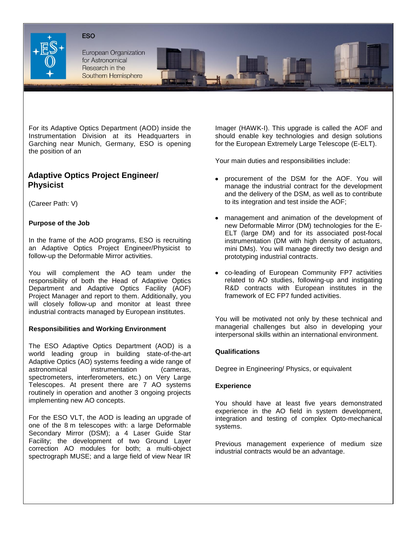



European Organization for Astronomical Research in the Southern Hemisphere

For its Adaptive Optics Department (AOD) inside the Instrumentation Division at its Headquarters in Garching near Munich, Germany, ESO is opening the position of an

# **Adaptive Optics Project Engineer/ Physicist**

(Career Path: V)

# **Purpose of the Job**

In the frame of the AOD programs, ESO is recruiting an Adaptive Optics Project Engineer/Physicist to follow-up the Deformable Mirror activities.

You will complement the AO team under the responsibility of both the Head of Adaptive Optics Department and Adaptive Optics Facility (AOF) Project Manager and report to them. Additionally, you will closely follow-up and monitor at least three industrial contracts managed by European institutes.

## **Responsibilities and Working Environment**

The ESO Adaptive Optics Department (AOD) is a world leading group in building state-of-the-art Adaptive Optics (AO) systems feeding a wide range of astronomical instrumentation (cameras, spectrometers, interferometers, etc.) on Very Large Telescopes. At present there are 7 AO systems routinely in operation and another 3 ongoing projects implementing new AO concepts.

For the ESO VLT, the AOD is leading an upgrade of one of the 8 m telescopes with: a large Deformable Secondary Mirror (DSM); a 4 Laser Guide Star Facility; the development of two Ground Layer correction AO modules for both; a multi-object spectrograph MUSE; and a large field of view Near IR

Imager (HAWK-I). This upgrade is called the AOF and should enable key technologies and design solutions for the European Extremely Large Telescope (E-ELT).

Your main duties and responsibilities include:

- procurement of the DSM for the AOF. You will manage the industrial contract for the development and the delivery of the DSM, as well as to contribute to its integration and test inside the AOF;
- management and animation of the development of new Deformable Mirror (DM) technologies for the E-ELT (large DM) and for its associated post-focal instrumentation (DM with high density of actuators, mini DMs). You will manage directly two design and prototyping industrial contracts.
- co-leading of European Community FP7 activities related to AO studies, following-up and instigating R&D contracts with European institutes in the framework of EC FP7 funded activities.

You will be motivated not only by these technical and managerial challenges but also in developing your interpersonal skills within an international environment.

# **Qualifications**

Degree in Engineering/ Physics, or equivalent

## **Experience**

You should have at least five years demonstrated experience in the AO field in system development, integration and testing of complex Opto-mechanical systems.

Previous management experience of medium size industrial contracts would be an advantage.